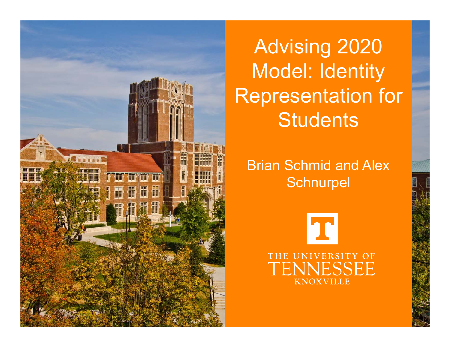

Advising 2020 Model: Identity Representation for **Students** 

Brian Schmid and Alex **Schnurpel** 

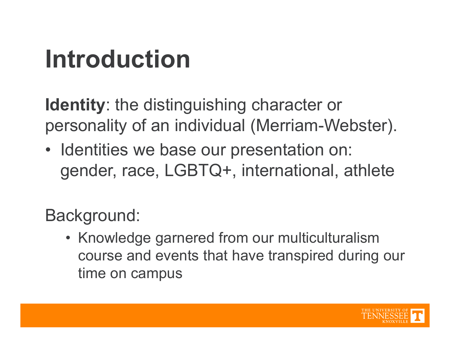## **Introduction**

**Identity**: the distinguishing character or personality of an individual (Merriam-Webster).

• Identities we base our presentation on: gender, race, LGBTQ+, international, athlete

Background:

• Knowledge garnered from our multiculturalism course and events that have transpired during our time on campus

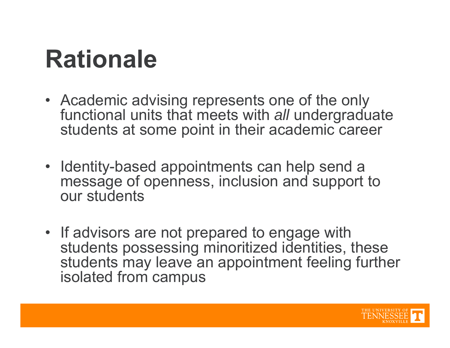### **Rationale**

- Academic advising represents one of the only functional units that meets with *all* undergraduate students at some point in their academic career
- Identity-based appointments can help send a message of openness, inclusion and support to our students
- If advisors are not prepared to engage with students possessing minoritized identities, these students may leave an appointment feeling further isolated from campus

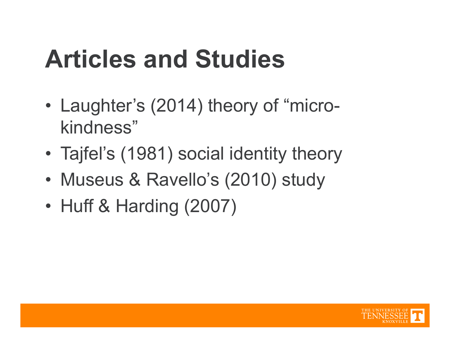## **Articles and Studies**

- • Laughter's (2014) theory of "microkindness"
- •Tajfel's (1981) social identity theory
- •Museus & Ravello's (2010) study
- •Huff & Harding (2007)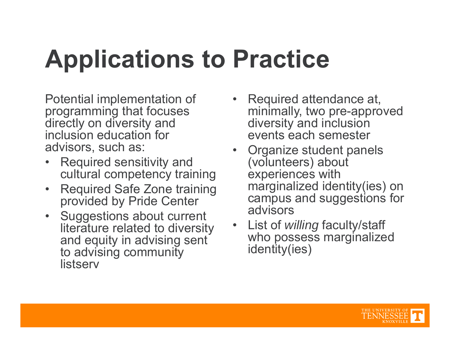## **Applications to Practice**

Potential implementation of programming that focuses directly on diversity and inclusion education for advisors, such as:

- $\bullet$  Required sensitivity and cultural competency training
- $\bullet$  Required Safe Zone training provided by Pride Center
- Suggestions about current literature related to diversity and equity in advising sent to advising community **listserv**
- Required attendance at, minimally, two pre-approved diversity and inclusion events each semester
- Organize student panels (volunteers) about experiences with marginalized identity(ies) on campus and suggestions for advisors
- • List of *willing* faculty/staff who possess marginalized identity(ies)

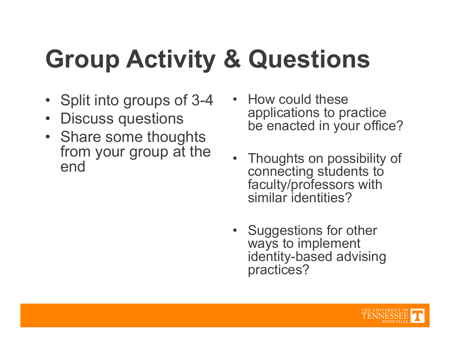# **Group Activity & Questions**

- Split into groups of 3-4
- •Discuss questions
- Share some thoughts from your group at the end
- How could these applications to practice be enacted in your office?
- Thoughts on possibility of connecting students to faculty/professors with similar identities?
- Suggestions for other ways to implement identity-based advising practices?